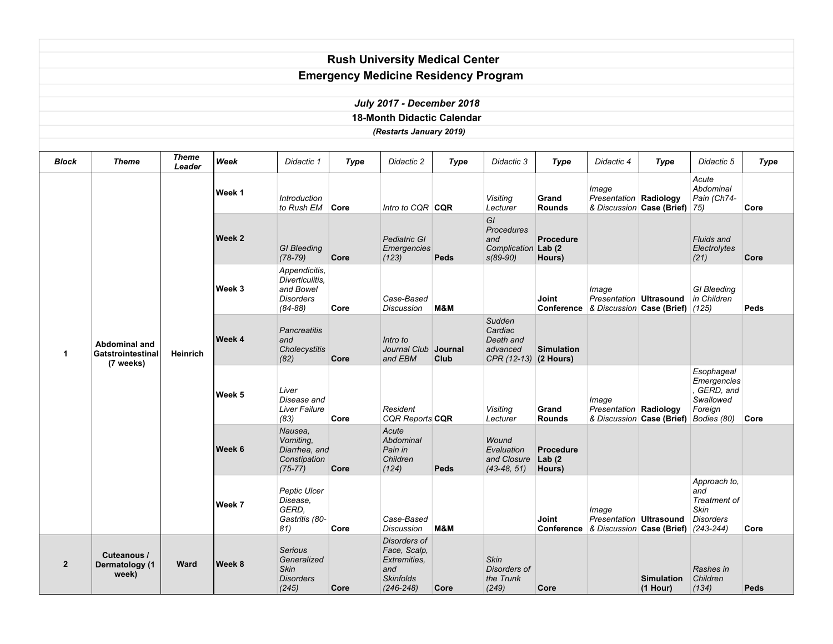|                |                                           |                 |               |                                                                           |             | <b>Rush University Medical Center</b>                                                    |             |                                                                       |                                         |                                                         |                                       |                                                                  |             |
|----------------|-------------------------------------------|-----------------|---------------|---------------------------------------------------------------------------|-------------|------------------------------------------------------------------------------------------|-------------|-----------------------------------------------------------------------|-----------------------------------------|---------------------------------------------------------|---------------------------------------|------------------------------------------------------------------|-------------|
|                |                                           |                 |               |                                                                           |             | <b>Emergency Medicine Residency Program</b>                                              |             |                                                                       |                                         |                                                         |                                       |                                                                  |             |
|                |                                           |                 |               |                                                                           |             | <b>July 2017 - December 2018</b>                                                         |             |                                                                       |                                         |                                                         |                                       |                                                                  |             |
|                |                                           |                 |               |                                                                           |             | <b>18-Month Didactic Calendar</b>                                                        |             |                                                                       |                                         |                                                         |                                       |                                                                  |             |
|                |                                           |                 |               |                                                                           |             | (Restarts January 2019)                                                                  |             |                                                                       |                                         |                                                         |                                       |                                                                  |             |
|                |                                           |                 |               |                                                                           |             |                                                                                          |             |                                                                       |                                         |                                                         |                                       |                                                                  |             |
| Block          | Theme                                     | Theme<br>Leader | Week          | Didactic 1                                                                | <b>Type</b> | Didactic 2                                                                               | <b>Type</b> | Didactic 3                                                            | <b>Type</b>                             | Didactic 4                                              | <b>Type</b>                           | Didactic 5                                                       | <b>Type</b> |
|                |                                           |                 | Week 1        | <i><b>Introduction</b></i><br>to Rush EM                                  | Core        | Intro to CQR CQR                                                                         |             | Visiting<br>Lecturer                                                  | Grand<br><b>Rounds</b>                  | Image<br>Presentation Radiology                         | & Discussion Case (Brief) 75)         | Acute<br>Abdominal<br>Pain (Ch74-                                | Core        |
|                |                                           |                 | Week 2        | <b>GI</b> Bleeding<br>$(78-79)$                                           | Core        | Pediatric GI<br>Emergencies<br>(123)                                                     | Peds        | GI<br>Procedures<br>and<br>Complication Lab (2<br>$s(89-90)$          | <b>Procedure</b><br>Hours)              |                                                         |                                       | <b>Fluids and</b><br>Electrolytes<br>(21)                        | Core        |
|                |                                           | Heinrich        | Week 3        | Appendicitis.<br>Diverticulitis.<br>and Bowel<br>Disorders<br>$(84 - 88)$ | Core        | Case-Based<br>Discussion                                                                 | M&M         |                                                                       | Joint<br>Conference                     | Image<br>Presentation Ultrasound                        | & Discussion Case (Brief) (125)       | <b>GI</b> Bleeding<br>in Children                                | Peds        |
| 1              | <b>Abdominal and</b><br>Gatstrointestinal |                 | Week 4        | <b>Pancreatitis</b><br>and<br>Cholecystitis<br>(82)                       | Core        | Intro to<br>Journal Club Journal<br>and EBM                                              | Club        | Sudden<br>Cardiac<br>Death and<br>advanced<br>$CPR (12-13)$ (2 Hours) | <b>Simulation</b>                       |                                                         |                                       |                                                                  |             |
|                | (7 weeks)                                 |                 | Week 5        | Liver<br>Disease and<br><b>Liver Failure</b><br>(83)                      | Core        | Resident<br><b>CQR Reports CQR</b>                                                       |             | Visiting<br>Lecturer                                                  | Grand<br><b>Rounds</b>                  | Image<br><b>Presentation Radiology</b>                  | & Discussion Case (Brief) Bodies (80) | Esophageal<br>Emergencies<br>, GERD, and<br>Swallowed<br>Foreign | Core        |
|                |                                           |                 | Week 6        | Nausea,<br>Vomiting,<br>Diarrhea, and<br>Constipation<br>$(75 - 77)$      | Core        | Acute<br>Abdominal<br>Pain in<br>Children<br>(124)                                       | Peds        | Wound<br>Evaluation<br>and Closure<br>$(43-48, 51)$                   | <b>Procedure</b><br>Lab $(2)$<br>Hours) |                                                         |                                       |                                                                  |             |
|                |                                           |                 | Week 7        | Peptic Ulcer<br>Disease,<br>GERD,<br>Gastritis (80-<br>81)                | Core        | Case-Based<br><b>Discussion</b>                                                          | M&M         |                                                                       | Joint                                   | Image<br>Conference & Discussion Case (Brief) (243-244) | Presentation Ultrasound Disorders     | Approach to,<br>and<br><b>Treatment of</b><br>Skin               | Core        |
| $\overline{2}$ | Cuteanous /<br>Dermatology (1<br>week)    | Ward            | <b>Week 8</b> | Serious<br>Generalized<br>Skin<br><b>Disorders</b><br>(245)               | Core        | Disorders of<br>Face, Scalp,<br>Extremities,<br>and<br><b>Skinfolds</b><br>$(246 - 248)$ | Core        | Skin<br>Disorders of<br>the Trunk<br>(249)                            | Core                                    |                                                         | <b>Simulation</b><br>$(1$ Hour)       | Rashes in<br>Children<br>(134)                                   | Peds        |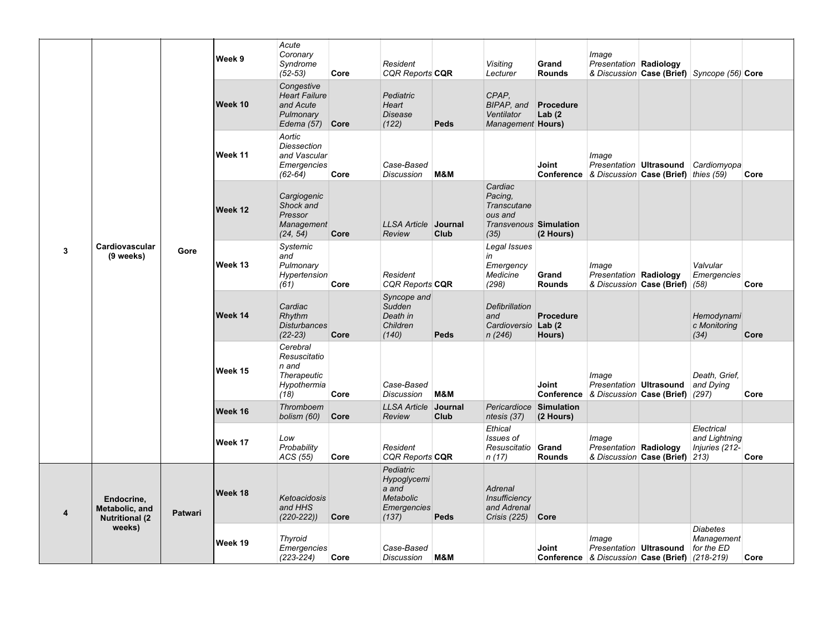| 3 |                                                        |                | Week 9  | Acute<br>Coronary<br>Syndrome<br>$(52 - 53)$                                      | Core | Resident<br><b>CQR Reports CQR</b>                                                   |                        | Visiting<br>Lecturer                                                                         | Grand<br><b>Rounds</b>     | Image<br>Presentation Radiology                                                       |                                | & Discussion Case (Brief) Syncope (56) Core   |      |
|---|--------------------------------------------------------|----------------|---------|-----------------------------------------------------------------------------------|------|--------------------------------------------------------------------------------------|------------------------|----------------------------------------------------------------------------------------------|----------------------------|---------------------------------------------------------------------------------------|--------------------------------|-----------------------------------------------|------|
|   |                                                        |                | Week 10 | Congestive<br><b>Heart Failure</b><br>and Acute<br>Pulmonary<br>Edema $(57)$ Core |      | Pediatric<br>Heart<br>Disease<br>(122)                                               | Peds                   | CPAP,<br>BIPAP, and<br>Ventilator<br>Management Hours)                                       | Procedure<br>Lab $(2)$     |                                                                                       |                                |                                               |      |
|   |                                                        |                | Week 11 | Aortic<br><b>Diessection</b><br>and Vascular<br>Emergencies<br>$(62-64)$          | Core | Case-Based<br><b>Discussion</b>                                                      | M&M                    |                                                                                              | Joint                      | Image<br>Presentation   Ultrasound<br>Conference & Discussion Case (Brief) thies (59) |                                | Cardiomyopa                                   | Core |
|   |                                                        |                | Week 12 | Cargiogenic<br>Shock and<br>Pressor<br>Management<br>(24, 54)                     | Core | <b>LLSA Article</b><br>Review                                                        | Journal<br>Club        | Cardiac<br>Pacing,<br><b>Transcutane</b><br>ous and<br><b>Transvenous Simulation</b><br>(35) | (2 Hours)                  |                                                                                       |                                |                                               |      |
|   | Cardiovascular<br>(9 weeks)                            | Gore           | Week 13 | Systemic<br>and<br>Pulmonary<br>Hypertension<br>(61)                              | Core | Resident<br><b>CQR Reports CQR</b>                                                   |                        | Legal Issues<br>in<br>Emergency<br>Medicine<br>(298)                                         | Grand<br><b>Rounds</b>     | Image<br>Presentation Radiology                                                       | & Discussion Case (Brief) (58) | Valvular<br>Emergencies                       | Core |
|   |                                                        |                | Week 14 | Cardiac<br>Rhythm<br><b>Disturbances</b><br>$(22-23)$                             | Core | Syncope and<br>Sudden<br>Death in<br>Children<br>(140)                               | Peds                   | Defibrillation<br>and<br>Cardioversio Lab (2<br>n(246)                                       | <b>Procedure</b><br>Hours) |                                                                                       |                                | Hemodynami<br>c Monitoring<br>(34)            | Core |
|   |                                                        |                | Week 15 | Cerebral<br>Resuscitatio<br>n and<br><b>Therapeutic</b><br>Hypothermia<br>(18)    | Core | Case-Based<br><b>Discussion</b>                                                      | M&M                    |                                                                                              | Joint                      | Image<br>Presentation Ultrasound<br>Conference & Discussion Case (Brief) (297)        |                                | Death. Grief.<br>and Dying                    | Core |
|   |                                                        |                | Week 16 | Thromboem<br>bolism (60)                                                          | Core | <b>LLSA Article</b><br>Review                                                        | Journal<br><b>Club</b> | Pericardioce Simulation<br>ntesis (37)                                                       | (2 Hours)                  |                                                                                       |                                |                                               |      |
|   |                                                        |                | Week 17 | Low<br>Probability<br>ACS (55)                                                    | Core | Resident<br><b>CQR Reports CQR</b>                                                   |                        | Ethical<br>Issues of<br>Resuscitatio<br>n(17)                                                | Grand<br><b>Rounds</b>     | Image<br>Presentation Radiology                                                       | & Discussion Case (Brief) 213) | Electrical<br>and Lightning<br>Injuries (212- | Core |
| 4 | Endocrine,<br>Metabolic, and<br><b>Nutritional (2)</b> | <b>Patwari</b> | Week 18 | Ketoacidosis<br>and HHS<br>$(220-222)$                                            | Core | Pediatric<br>Hypoglycemi<br>a and<br><b>Metabolic</b><br><b>Emergencies</b><br>(137) | Peds                   | <b>Adrenal</b><br>Insufficiency<br>and Adrenal<br>Crisis (225)                               | Core                       |                                                                                       |                                |                                               |      |
|   | weeks)                                                 |                | Week 19 | <b>Thyroid</b><br><b>Emergencies</b><br>$(223 - 224)$                             | Core | Case-Based<br><b>Discussion</b>                                                      | M&M                    |                                                                                              | Joint                      | Image<br>Presentation Ultrasound<br>Conference & Discussion Case (Brief) (218-219)    |                                | <b>Diabetes</b><br>Management<br>for the ED   | Core |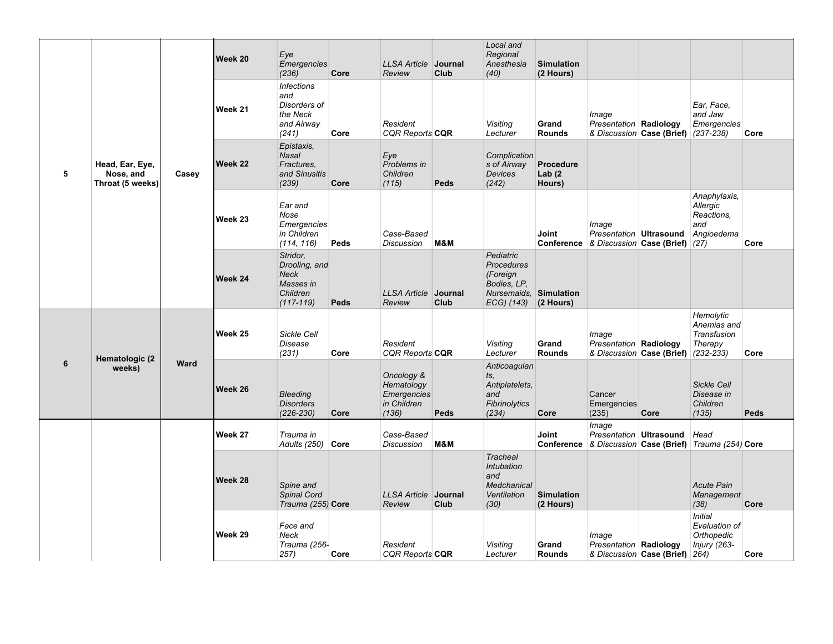|   |                                                                              |       | Week 20 | Eye<br>Emergencies<br>(236)                                                        | Core | <b>LLSA Article Journal</b><br>Review                           | Club            | Local and<br>Regional<br>Anesthesia<br>(40)                                                       | <b>Simulation</b><br>(2 Hours)   |                                                                                            |                                     |                                                               |      |
|---|------------------------------------------------------------------------------|-------|---------|------------------------------------------------------------------------------------|------|-----------------------------------------------------------------|-----------------|---------------------------------------------------------------------------------------------------|----------------------------------|--------------------------------------------------------------------------------------------|-------------------------------------|---------------------------------------------------------------|------|
| 5 |                                                                              |       | Week 21 | <b>Infections</b><br>and<br>Disorders of<br>the Neck<br>and Airway<br>(241)        | Core | Resident<br><b>CQR Reports CQR</b>                              |                 | <b>Visiting</b><br>Lecturer                                                                       | Grand<br><b>Rounds</b>           | Image<br>Presentation   Radiology                                                          | & Discussion Case (Brief) (237-238) | Ear, Face,<br>and Jaw<br>Emergencies                          | Core |
|   | Head, Ear, Eye,<br>Nose, and<br>Throat (5 weeks)<br>Hematologic (2<br>weeks) | Casey | Week 22 | Epistaxis.<br><b>Nasal</b><br>Fractures.<br>and Sinusitis<br>(239)                 | Core | Eye<br>Problems in<br>Children<br>(115)                         | Peds            | Complication<br>s of Airway<br><b>Devices</b><br>(242)                                            | Procedure<br>Lab $(2)$<br>Hours) |                                                                                            |                                     |                                                               |      |
|   |                                                                              |       | Week 23 | Ear and<br>Nose<br>Emergencies<br>in Children<br>(114, 116)                        | Peds | Case-Based<br><b>Discussion</b>                                 | M&M             |                                                                                                   | Joint                            | Image<br>Presentation Ultrasound<br>Conference & Discussion Case (Brief) (27)              |                                     | Anaphylaxis,<br>Allergic<br>Reactions,<br>and<br>Angioedema   | Core |
|   |                                                                              |       | Week 24 | Stridor,<br>Drooling, and<br><b>Neck</b><br>Masses in<br>Children<br>$(117 - 119)$ | Peds | <b>LLSA Article</b><br>Review                                   | Journal<br>Club | Pediatric<br><b>Procedures</b><br>(Foreign<br>Bodies, LP.<br>Nursemaids. Simulation<br>ECG) (143) | (2 Hours)                        |                                                                                            |                                     |                                                               |      |
|   |                                                                              | Ward  | Week 25 | Sickle Cell<br>Disease<br>(231)                                                    | Core | Resident<br><b>CQR Reports CQR</b>                              |                 | <b>Visiting</b><br>Lecturer                                                                       | Grand<br><b>Rounds</b>           | Image<br>Presentation Radiology                                                            | & Discussion Case (Brief) (232-233) | Hemolytic<br>Anemias and<br>Transfusion<br>Therapy            | Core |
| 6 |                                                                              |       | Week 26 | <b>Bleeding</b><br><b>Disorders</b><br>$(226 - 230)$                               | Core | Oncology &<br>Hematology<br>Emergencies<br>in Children<br>(136) | Peds            | Anticoagulan<br>ts,<br>Antiplatelets,<br>and<br>Fibrinolytics<br>(234)                            | Core                             | Cancer<br>Emergencies<br>(235)                                                             | Core                                | Sickle Cell<br>Disease in<br>Children<br>(135)                | Peds |
|   |                                                                              |       | Week 27 | Trauma in<br>Adults (250) Core                                                     |      | Case-Based<br><b>Discussion</b>                                 | M&M             |                                                                                                   | Joint                            | Image<br>Presentation Ultrasound<br>Conference & Discussion Case (Brief) Trauma (254) Core |                                     | Head                                                          |      |
|   |                                                                              |       | Week 28 | Spine and<br>Spinal Cord<br>Trauma (255) Core                                      |      | <b>LLSA Article</b><br>Review                                   | Journal<br>Club | <b>Tracheal</b><br>Intubation<br>and<br>Medchanical<br>Ventilation<br>(30)                        | <b>Simulation</b><br>(2 Hours)   |                                                                                            |                                     | <b>Acute Pain</b><br>Management<br>(38)                       | Core |
|   |                                                                              |       | Week 29 | Face and<br>Neck<br>Trauma (256-<br>257)                                           | Core | Resident<br><b>CQR Reports CQR</b>                              |                 | <b>Visiting</b><br>Lecturer                                                                       | Grand<br><b>Rounds</b>           | Image<br>Presentation Radiology<br>& Discussion Case (Brief) 264)                          |                                     | <b>Initial</b><br>Evaluation of<br>Orthopedic<br>Injury (263- | Core |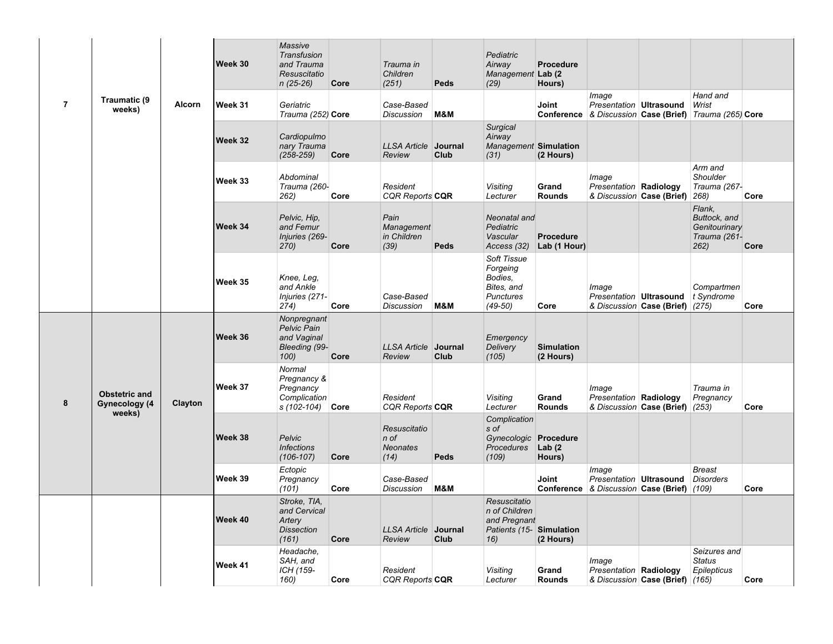| $\overline{7}$ |                                                 |               | Week 30 | Massive<br>Transfusion<br>and Trauma<br>Resuscitatio<br>$n(25-26)$   | Core | Trauma in<br>Children<br>(251)                    | Peds            | Pediatric<br>Airway<br>Management Lab (2)<br>(29)                               | <b>Procedure</b><br>Hours)       |                                                                                 |                                 |                                                                             |      |
|----------------|-------------------------------------------------|---------------|---------|----------------------------------------------------------------------|------|---------------------------------------------------|-----------------|---------------------------------------------------------------------------------|----------------------------------|---------------------------------------------------------------------------------|---------------------------------|-----------------------------------------------------------------------------|------|
|                | Traumatic (9<br>weeks)                          | <b>Alcorn</b> | Week 31 | Geriatric<br>Trauma (252) Core                                       |      | Case-Based<br><b>Discussion</b>                   | M&M             |                                                                                 | Joint                            | Image<br>Presentation   Ultrasound                                              |                                 | Hand and<br>Wrist<br>Conference & Discussion Case (Brief) Trauma (265) Core |      |
|                |                                                 |               | Week 32 | Cardiopulmo<br>nary Trauma<br>$(258 - 259)$                          | Core | <b>LLSA Article</b><br>Review                     | Journal<br>Club | <b>Surgical</b><br>Airway<br>Management Simulation<br>(31)                      | (2 Hours)                        |                                                                                 |                                 |                                                                             |      |
|                |                                                 |               | Week 33 | Abdominal<br>Trauma (260-<br>262)                                    | Core | Resident<br><b>CQR Reports CQR</b>                |                 | Visiting<br>Lecturer                                                            | Grand<br><b>Rounds</b>           | Image<br><b>Presentation Radiology</b><br>& Discussion Case (Brief)             |                                 | Arm and<br>Shoulder<br>Trauma (267-<br>268)                                 | Core |
|                |                                                 |               | Week 34 | Pelvic, Hip.<br>and Femur<br>Injuries (269-<br>270)                  | Core | Pain<br>Management<br>in Children<br>(39)         | Peds            | Neonatal and<br>Pediatric<br>Vascular<br>Access (32)                            | <b>Procedure</b><br>Lab (1 Hour) |                                                                                 |                                 | Flank,<br>Buttock, and<br>Genitourinary<br>Trauma (261-<br>262)             | Core |
|                |                                                 |               | Week 35 | Knee, Leg.<br>and Ankle<br>Injuries (271-<br>274)                    | Core | Case-Based<br><b>Discussion</b>                   | M&M             | Soft Tissue<br>Forgeing<br>Bodies,<br>Bites, and<br>Punctures<br>$(49-50)$      | Core                             | Image<br>Presentation Ultrasound                                                | & Discussion Case (Brief) (275) | Compartmen<br>t Syndrome                                                    | Core |
|                | <b>Obstetric and</b><br>Gynecology (4<br>weeks) | Clayton       | Week 36 | Nonpregnant<br>Pelvic Pain<br>and Vaginal<br>Bleeding (99-<br>100)   | Core | <b>LLSA Article</b><br>Review                     | Journal<br>Club | Emergency<br>Delivery<br>(105)                                                  | <b>Simulation</b><br>(2 Hours)   |                                                                                 |                                 |                                                                             |      |
| 8              |                                                 |               | Week 37 | Normal<br>Pregnancy &<br>Pregnancy<br>Complication<br>s (102-104)    | Core | Resident<br>CQR Reports CQR                       |                 | Visiting<br>Lecturer                                                            | Grand<br><b>Rounds</b>           | Image<br>Presentation Radiology<br>& Discussion Case (Brief)                    |                                 | Trauma in<br>Pregnancy<br>(253)                                             | Core |
|                |                                                 |               | Week 38 | Pelvic<br><b>Infections</b><br>$(106 - 107)$                         | Core | Resuscitatio<br>$n$ of<br><b>Neonates</b><br>(14) | Peds            | Complication<br>s of<br>Gynecologic Procedure<br>Procedures<br>(109)            | Lab $(2)$<br>Hours)              |                                                                                 |                                 |                                                                             |      |
|                |                                                 |               | Week 39 | Ectopic<br>Pregnancy<br>(101)                                        | Core | Case-Based<br><b>Discussion</b>                   | M&M             |                                                                                 | Joint                            | Image<br>Presentation Ultrasound<br><b>Conference</b> & Discussion Case (Brief) |                                 | <b>Breast</b><br><b>Disorders</b><br>(109)                                  | Core |
|                |                                                 |               | Week 40 | Stroke, TIA,<br>and Cervical<br>Artery<br><b>Dissection</b><br>(161) | Core | <b>LLSA Article</b><br>Review                     | Journal<br>Club | Resuscitatio<br>n of Children<br>and Pregnant<br>Patients (15-Simulation<br>16) | (2 Hours)                        |                                                                                 |                                 |                                                                             |      |
|                |                                                 |               | Week 41 | Headache,<br>SAH, and<br>ICH (159-<br>160)                           | Core | Resident<br>CQR Reports CQR                       |                 | Visiting<br>Lecturer                                                            | Grand<br><b>Rounds</b>           | Image<br><b>Presentation Radiology</b>                                          | & Discussion Case (Brief) (165) | Seizures and<br>Status<br>Epilepticus                                       | Core |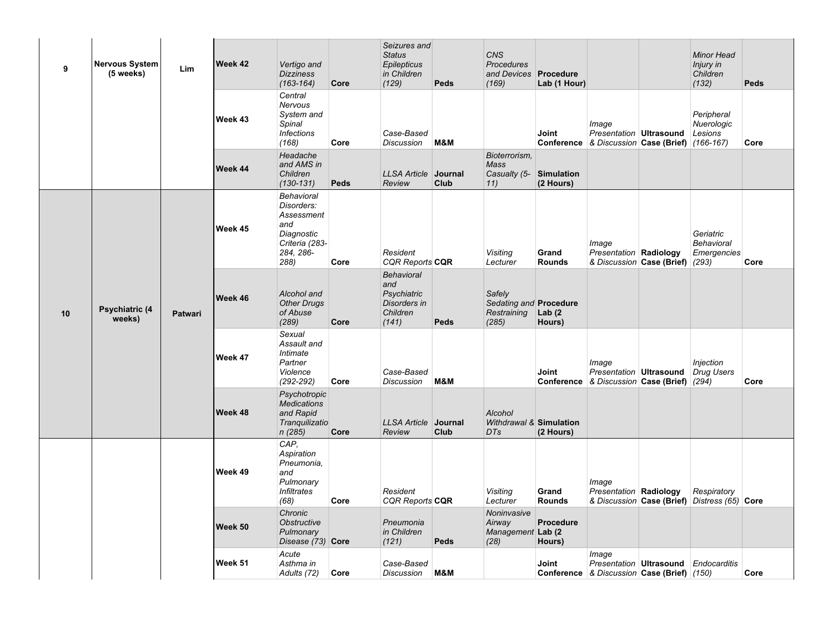| 9  | <b>Nervous System</b><br>(5 weeks) | Lim     | Week 42 | Vertigo and<br><b>Dizziness</b><br>$(163 - 164)$                                                          | Core        | Seizures and<br><b>Status</b><br>Epilepticus<br>in Children<br>(129)         | Peds            | <b>CNS</b><br><b>Procedures</b><br>and Devices Procedure<br>(169) | Lab (1 Hour)           |                                                                                    | <b>Minor Head</b><br>Injury in<br>Children<br>(132)         | Peds |
|----|------------------------------------|---------|---------|-----------------------------------------------------------------------------------------------------------|-------------|------------------------------------------------------------------------------|-----------------|-------------------------------------------------------------------|------------------------|------------------------------------------------------------------------------------|-------------------------------------------------------------|------|
|    |                                    |         | Week 43 | Central<br>Nervous<br>System and<br>Spinal<br><b>Infections</b><br>(168)                                  | Core        | Case-Based<br><b>Discussion</b>                                              | M&M             |                                                                   | Joint                  | Image<br>Presentation Ultrasound<br>Conference & Discussion Case (Brief) (166-167) | Peripheral<br>Nuerologic<br>Lesions                         | Core |
|    |                                    |         | Week 44 | Headache<br>and AMS in<br>Children<br>$(130 - 131)$                                                       | <b>Peds</b> | <b>LLSA Article</b><br>Review                                                | Journal<br>Club | Bioterrorism.<br>Mass<br>Casualty (5- Simulation<br>11)           | (2 Hours)              |                                                                                    |                                                             |      |
|    |                                    |         | Week 45 | <b>Behavioral</b><br>Disorders:<br>Assessment<br>and<br>Diagnostic<br>Criteria (283-<br>284, 286-<br>288) | Core        | Resident<br><b>CQR Reports CQR</b>                                           |                 | Visiting<br>Lecturer                                              | Grand<br><b>Rounds</b> | Image<br>Presentation Radiology<br>& Discussion Case (Brief)                       | Geriatric<br><b>Behavioral</b><br>Emergencies<br>(293)      | Core |
| 10 | Psychiatric (4<br>weeks)           | Patwari | Week 46 | Alcohol and<br><b>Other Drugs</b><br>of Abuse<br>(289)                                                    | Core        | <b>Behavioral</b><br>and<br>Psychiatric<br>Disorders in<br>Children<br>(141) | Peds            | Safely<br>Sedating and Procedure<br>Restraining<br>(285)          | Lab $(2)$<br>Hours)    |                                                                                    |                                                             |      |
|    |                                    |         | Week 47 | Sexual<br>Assault and<br>Intimate<br>Partner<br>Violence<br>$(292 - 292)$                                 | Core        | Case-Based<br><b>Discussion</b>                                              | M&M             |                                                                   | Joint                  | Image<br>Presentation Ultrasound<br>Conference & Discussion Case (Brief) (294)     | Injection<br>Drug Users                                     | Core |
|    |                                    |         | Week 48 | Psychotropic<br><b>Medications</b><br>and Rapid<br>Tranguilizatio<br>n(285)                               | Core        | LLSA Article Journal<br>Review                                               | Club            | Alcohol<br>Withdrawal & Simulation<br>DTs                         | (2 Hours)              |                                                                                    |                                                             |      |
|    |                                    |         | Week 49 | CAP.<br>Aspiration<br>Pneumonia,<br>and<br>Pulmonary<br><i><b>Infiltrates</b></i><br>(68)                 | Core        | Resident<br><b>CQR Reports CQR</b>                                           |                 | Visiting<br>Lecturer                                              | Grand<br><b>Rounds</b> | Image<br>Presentation Radiology                                                    | Respiratory<br>& Discussion Case (Brief) Distress (65) Core |      |
|    |                                    |         | Week 50 | Chronic<br><b>Obstructive</b><br>Pulmonary<br>Disease (73) Core                                           |             | Pneumonia<br>in Children<br>(121)                                            | Peds            | Noninvasive<br>Airway<br>Management Lab (2)<br>(28)               | Procedure<br>Hours)    |                                                                                    |                                                             |      |
|    |                                    |         | Week 51 | Acute<br>Asthma in<br>Adults (72)                                                                         | Core        | Case-Based<br><b>Discussion</b>                                              | M&M             |                                                                   | <b>Joint</b>           | Image<br>Presentation Ultrasound<br>Conference & Discussion Case (Brief) (150)     | Endocarditis                                                | Core |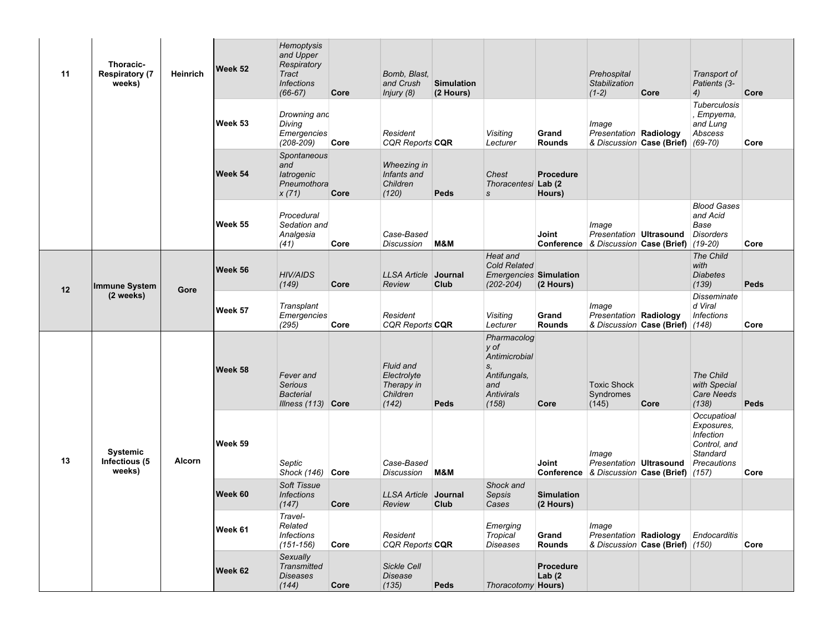| 11 | Thoracic-<br><b>Respiratory (7</b><br>weeks) | <b>Heinrich</b> | Week 52 | Hemoptysis<br>and Upper<br>Respiratory<br>Tract<br><b>Infections</b><br>$(66-67)$ | Core | Bomb, Blast,<br>and Crush<br>Injury (8)                     | <b>Simulation</b><br>(2 Hours) |                                                                                          |                                | Prehospital<br>Stabilization<br>$(1-2)$                       | Core                                             | Transport of<br>Patients (3-<br>4)                                                       | Core |
|----|----------------------------------------------|-----------------|---------|-----------------------------------------------------------------------------------|------|-------------------------------------------------------------|--------------------------------|------------------------------------------------------------------------------------------|--------------------------------|---------------------------------------------------------------|--------------------------------------------------|------------------------------------------------------------------------------------------|------|
|    |                                              |                 | Week 53 | Drowning and<br>Diving<br>Emergencies<br>$(208 - 209)$                            | Core | Resident<br><b>CQR Reports CQR</b>                          |                                | Visiting<br>Lecturer                                                                     | Grand<br><b>Rounds</b>         | Image<br>Presentation Radiology                               | & Discussion Case (Brief) (69-70)                | <b>Tuberculosis</b><br>Empyema,<br>and Lung<br>Abscess                                   | Core |
|    |                                              |                 | Week 54 | Spontaneous<br>and<br>latrogenic<br>Pneumothora<br>x(71)                          | Core | Wheezing in<br>Infants and<br>Children<br>(120)             | Peds                           | Chest<br>Thoracentesi Lab (2<br>s                                                        | <b>Procedure</b><br>Hours)     |                                                               |                                                  |                                                                                          |      |
|    |                                              |                 | Week 55 | Procedural<br>Sedation and<br>Analgesia<br>(41)                                   | Core | Case-Based<br><b>Discussion</b>                             | M&M                            |                                                                                          | Joint<br>Conference            | Image<br>Presentation Ultrasound<br>& Discussion Case (Brief) |                                                  | <b>Blood Gases</b><br>and Acid<br>Base<br><b>Disorders</b><br>$(19-20)$                  | Core |
| 12 | Immune System<br>(2 weeks)                   | Gore            | Week 56 | <b>HIV/AIDS</b><br>(149)                                                          | Core | <b>LLSA Article</b><br>Review                               | Journal<br>Club                | Heat and<br><b>Cold Related</b><br><b>Emergencies Simulation</b><br>$(202 - 204)$        | (2 Hours)                      |                                                               |                                                  | The Child<br>with<br><b>Diabetes</b><br>(139)                                            | Peds |
|    |                                              |                 | Week 57 | Transplant<br>Emergencies<br>(295)                                                | Core | Resident<br><b>CQR Reports CQR</b>                          |                                | Visiting<br>Lecturer                                                                     | Grand<br><b>Rounds</b>         | Image<br><b>Presentation Radiology</b>                        | & Discussion Case (Brief) (148)                  | <b>Disseminate</b><br>d Viral<br><i><b>Infections</b></i>                                | Core |
|    |                                              |                 | Week 58 | Fever and<br><b>Serious</b><br><b>Bacterial</b><br>Illness $(113)$ Core           |      | Fluid and<br>Electrolyte<br>Therapy in<br>Children<br>(142) | Peds                           | Pharmacolog<br>y of<br>Antimicrobial<br>S,<br>Antifungals,<br>and<br>Antivirals<br>(158) | Core                           | <b>Toxic Shock</b><br>Syndromes<br>(145)                      | Core                                             | The Child<br>with Special<br><b>Care Needs</b><br>(138)                                  | Peds |
| 13 | <b>Systemic</b><br>Infectious (5<br>weeks)   | Alcorn          | Week 59 | Septic<br>Shock (146) Core                                                        |      | Case-Based<br>Discussion                                    | M&M                            |                                                                                          | Joint                          | Image<br>Presentation Ultrasound                              | Conference   & Discussion   Case (Brief)   (157) | Occupatioal<br>Exposures,<br><b>Infection</b><br>Control, and<br>Standard<br>Precautions | Core |
|    |                                              |                 | Week 60 | Soft Tissue<br><b>Infections</b><br>(147)                                         | Core | <b>LLSA Article</b><br>Review                               | Journal<br>Club                | Shock and<br>Sepsis<br>Cases                                                             | <b>Simulation</b><br>(2 Hours) |                                                               |                                                  |                                                                                          |      |
|    |                                              |                 | Week 61 | Travel-<br>Related<br><b>Infections</b><br>$(151 - 156)$                          | Core | Resident<br>CQR Reports CQR                                 |                                | Emerging<br>Tropical<br><b>Diseases</b>                                                  | Grand<br><b>Rounds</b>         | Image<br>Presentation Radiology                               | & Discussion Case (Brief) (150)                  | <b>Endocarditis</b>                                                                      | Core |
|    |                                              |                 | Week 62 | Sexually<br><b>Transmitted</b><br>Diseases<br>(144)                               | Core | <b>Sickle Cell</b><br>Disease<br>(135)                      | Peds                           | Thoracotomy Hours)                                                                       | Procedure<br>Lab $(2)$         |                                                               |                                                  |                                                                                          |      |